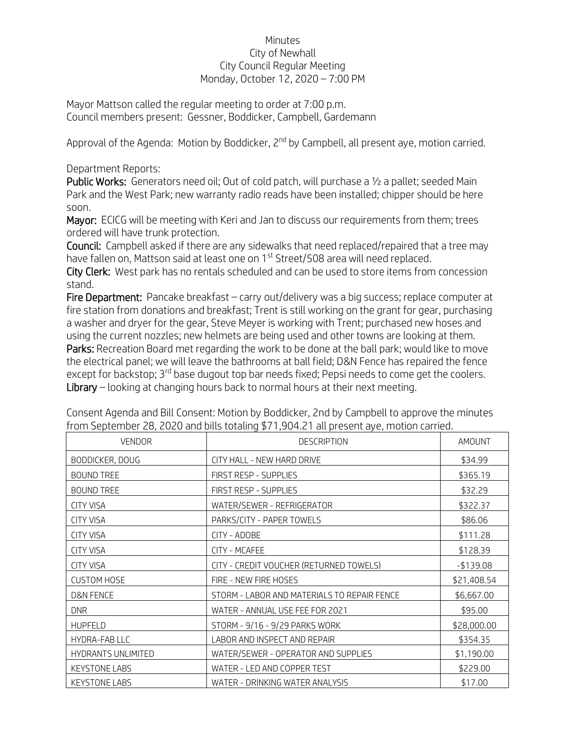## Minutes City of Newhall City Council Regular Meeting Monday, October 12, 2020 – 7:00 PM

Mayor Mattson called the regular meeting to order at 7:00 p.m. Council members present: Gessner, Boddicker, Campbell, Gardemann

Approval of the Agenda: Motion by Boddicker, 2<sup>nd</sup> by Campbell, all present aye, motion carried.

Department Reports:

Public Works: Generators need oil; Out of cold patch, will purchase a 1/2 a pallet; seeded Main Park and the West Park; new warranty radio reads have been installed; chipper should be here soon.

Mayor: ECICG will be meeting with Keri and Jan to discuss our requirements from them; trees ordered will have trunk protection.

Council: Campbell asked if there are any sidewalks that need replaced/repaired that a tree may have fallen on, Mattson said at least one on 1<sup>st</sup> Street/508 area will need replaced.

City Clerk: West park has no rentals scheduled and can be used to store items from concession stand.

Fire Department: Pancake breakfast – carry out/delivery was a big success; replace computer at fire station from donations and breakfast; Trent is still working on the grant for gear, purchasing a washer and dryer for the gear, Steve Meyer is working with Trent; purchased new hoses and using the current nozzles; new helmets are being used and other towns are looking at them. Parks: Recreation Board met regarding the work to be done at the ball park; would like to move the electrical panel; we will leave the bathrooms at ball field; D&N Fence has repaired the fence

except for backstop; 3<sup>rd</sup> base dugout top bar needs fixed; Pepsi needs to come get the coolers. Library – looking at changing hours back to normal hours at their next meeting.

| <b>VENDOR</b>             | <b>DESCRIPTION</b>                          | AMOUNT      |
|---------------------------|---------------------------------------------|-------------|
| BODDICKER, DOUG           | CITY HALL - NEW HARD DRIVE                  | \$34.99     |
| <b>BOUND TREE</b>         | FIRST RESP - SUPPLIES                       | \$365.19    |
| <b>BOUND TREE</b>         | FIRST RESP - SUPPLIES                       | \$32.29     |
| <b>CITY VISA</b>          | WATER/SEWER - REFRIGERATOR                  | \$322.37    |
| <b>CITY VISA</b>          | PARKS/CITY - PAPER TOWELS                   | \$86.06     |
| <b>CITY VISA</b>          | CITY - ADOBE                                | \$111.28    |
| <b>CITY VISA</b>          | CITY - MCAFEE                               | \$128.39    |
| <b>CITY VISA</b>          | CITY - CREDIT VOUCHER (RETURNED TOWELS)     | $-$139.08$  |
| <b>CUSTOM HOSE</b>        | FIRE - NEW FIRE HOSES                       | \$21,408.54 |
| D&N FENCE                 | STORM - LABOR AND MATERIALS TO REPAIR FENCE | \$6,667.00  |
| <b>DNR</b>                | WATER - ANNUAL USE FEE FOR 2021             | \$95.00     |
| <b>HUPFELD</b>            | STORM - 9/16 - 9/29 PARKS WORK              | \$28,000.00 |
| HYDRA-FAB LLC             | LABOR AND INSPECT AND REPAIR                | \$354.35    |
| <b>HYDRANTS UNLIMITED</b> | WATER/SEWER - OPERATOR AND SUPPLIES         | \$1,190.00  |
| <b>KEYSTONE LABS</b>      | WATER - LED AND COPPER TEST                 | \$229.00    |
| <b>KEYSTONE LABS</b>      | WATER - DRINKING WATER ANALYSIS             | \$17.00     |

Consent Agenda and Bill Consent: Motion by Boddicker, 2nd by Campbell to approve the minutes from September 28, 2020 and bills totaling \$71,904.21 all present aye, motion carried.